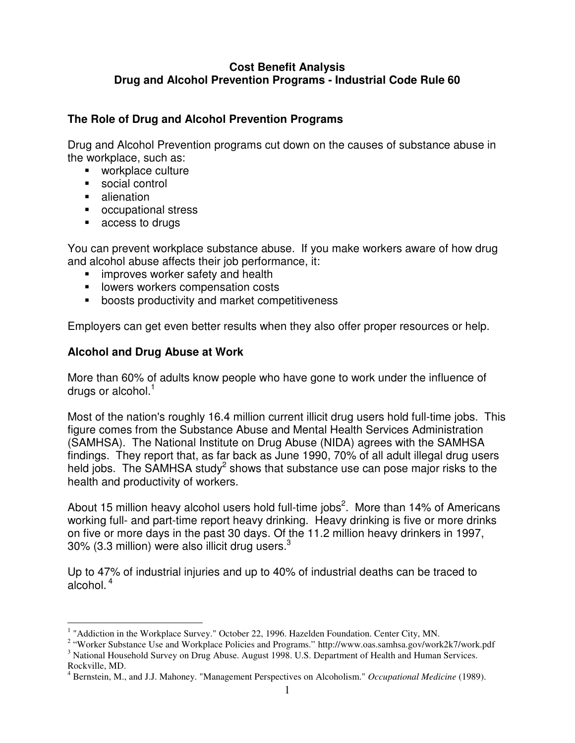## **Cost Benefit Analysis Drug and Alcohol Prevention Programs - Industrial Code Rule 60**

#### **The Role of Drug and Alcohol Prevention Programs**

Drug and Alcohol Prevention programs cut down on the causes of substance abuse in the workplace, such as:

- workplace culture
- social control
- **u** alienation
- occupational stress
- **EXECCESS to drugs**

You can prevent workplace substance abuse. If you make workers aware of how drug and alcohol abuse affects their job performance, it:

- **F** improves worker safety and health
- **IDED** lowers workers compensation costs
- **boosts productivity and market competitiveness**

Employers can get even better results when they also offer proper resources or help.

## **Alcohol and Drug Abuse at Work**

More than 60% of adults know people who have gone to work under the influence of drugs or alcohol. $<sup>1</sup>$ </sup>

Most of the nation's roughly 16.4 million current illicit drug users hold full-time jobs. This figure comes from the Substance Abuse and Mental Health Services Administration (SAMHSA). The National Institute on Drug Abuse (NIDA) agrees with the SAMHSA findings. They report that, as far back as June 1990, 70% of all adult illegal drug users held jobs. The SAMHSA study<sup>2</sup> shows that substance use can pose major risks to the health and productivity of workers.

About 15 million heavy alcohol users hold full-time jobs<sup>2</sup>. More than 14% of Americans working full- and part-time report heavy drinking. Heavy drinking is five or more drinks on five or more days in the past 30 days. Of the 11.2 million heavy drinkers in 1997, 30% (3.3 million) were also illicit drug users. $3$ 

Up to 47% of industrial injuries and up to 40% of industrial deaths can be traced to alcohol.<sup>4</sup>

 $\overline{a}$ <sup>1</sup> "Addiction in the Workplace Survey." October 22, 1996. Hazelden Foundation. Center City, MN.

<sup>&</sup>lt;sup>2</sup> "Worker Substance Use and Workplace Policies and Programs." http://www.oas.samhsa.gov/work2k7/work.pdf <sup>3</sup> National Household Survey on Drug Abuse. August 1998. U.S. Department of Health and Human Services.

Rockville, MD. 4 Bernstein, M., and J.J. Mahoney. "Management Perspectives on Alcoholism." *Occupational Medicine* (1989).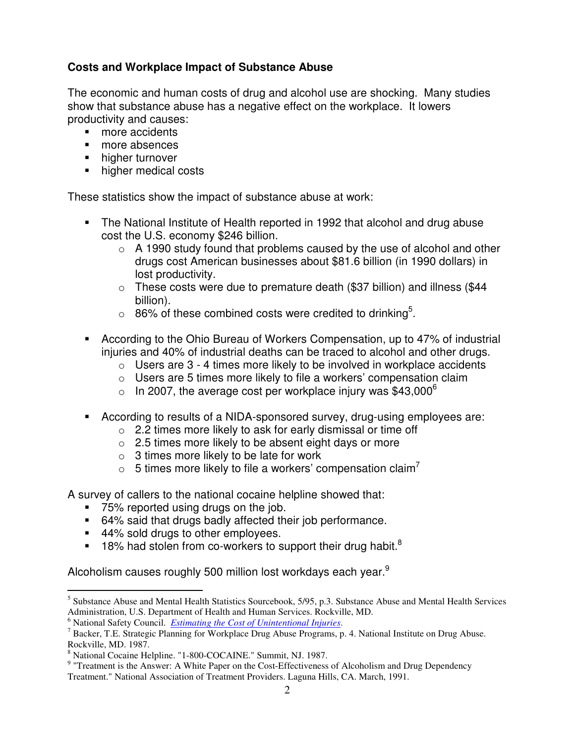## **Costs and Workplace Impact of Substance Abuse**

The economic and human costs of drug and alcohol use are shocking. Many studies show that substance abuse has a negative effect on the workplace. It lowers productivity and causes:

- more accidents
- more absences
- **higher turnover**
- higher medical costs

These statistics show the impact of substance abuse at work:

- The National Institute of Health reported in 1992 that alcohol and drug abuse cost the U.S. economy \$246 billion.
	- $\circ$  A 1990 study found that problems caused by the use of alcohol and other drugs cost American businesses about \$81.6 billion (in 1990 dollars) in lost productivity.
	- $\circ$  These costs were due to premature death (\$37 billion) and illness (\$44 billion).
	- $\circ$  86% of these combined costs were credited to drinking<sup>5</sup>.
- According to the Ohio Bureau of Workers Compensation, up to 47% of industrial injuries and 40% of industrial deaths can be traced to alcohol and other drugs.
	- $\circ$  Users are 3 4 times more likely to be involved in workplace accidents
	- $\circ$  Users are 5 times more likely to file a workers' compensation claim
	- $\circ$  In 2007, the average cost per workplace injury was \$43,000 $^{\circ}$
- According to results of a NIDA-sponsored survey, drug-using employees are:
	- $\circ$  2.2 times more likely to ask for early dismissal or time off
	- $\circ$  2.5 times more likely to be absent eight days or more
	- $\circ$  3 times more likely to be late for work
	- $\circ$  5 times more likely to file a workers' compensation claim<sup>7</sup>

A survey of callers to the national cocaine helpline showed that:

- 75% reported using drugs on the job.
- 64% said that drugs badly affected their job performance.
- 44% sold drugs to other employees.
- $18\%$  had stolen from co-workers to support their drug habit.<sup>8</sup>

Alcoholism causes roughly 500 million lost workdays each year.<sup>9</sup>

 5 Substance Abuse and Mental Health Statistics Sourcebook, 5/95, p.3. Substance Abuse and Mental Health Services Administration, U.S. Department of Health and Human Services. Rockville, MD.

<sup>6</sup> National Safety Council. *Estimating the Cost of Unintentional Injuries*.

<sup>&</sup>lt;sup>7</sup> Backer, T.E. Strategic Planning for Workplace Drug Abuse Programs, p. 4. National Institute on Drug Abuse. Rockville, MD. 1987.

<sup>8</sup> National Cocaine Helpline. "1-800-COCAINE." Summit, NJ. 1987.

<sup>&</sup>lt;sup>9</sup> "Treatment is the Answer: A White Paper on the Cost-Effectiveness of Alcoholism and Drug Dependency

Treatment." National Association of Treatment Providers. Laguna Hills, CA. March, 1991.